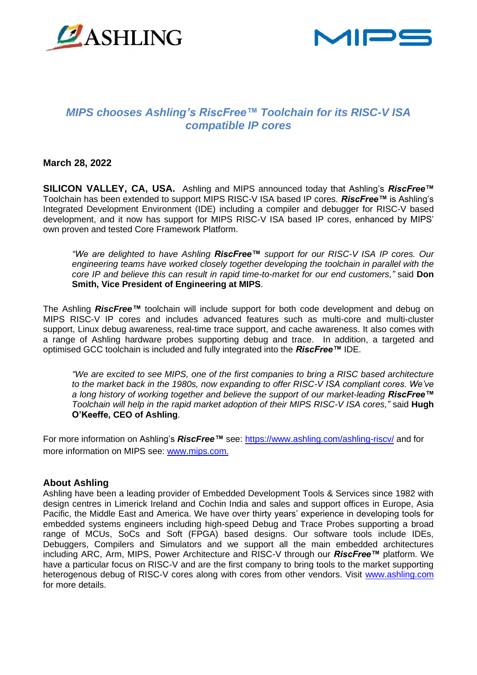



# *MIPS chooses Ashling's RiscFree™ Toolchain for its RISC-V ISA compatible IP cores*

#### **March 28, 2022**

**SILICON VALLEY, CA, USA.** Ashling and MIPS announced today that Ashling's *RiscFree™* Toolchain has been extended to support MIPS RISC-V ISA based IP cores. *RiscFree™* is Ashling's Integrated Development Environment (IDE) including a compiler and debugger for RISC-V based development, and it now has support for MIPS RISC-V ISA based IP cores, enhanced by MIPS' own proven and tested Core Framework Platform.

*"We are delighted to have Ashling RiscFree™ support for our RISC-V ISA IP cores. Our engineering teams have worked closely together developing the toolchain in parallel with the core IP and believe this can result in rapid time-to-market for our end customers,"* said **Don Smith, Vice President of Engineering at MIPS**.

The Ashling *RiscFree™* toolchain will include support for both code development and debug on MIPS RISC-V IP cores and includes advanced features such as multi-core and multi-cluster support, Linux debug awareness, real-time trace support, and cache awareness. It also comes with a range of Ashling hardware probes supporting debug and trace. In addition, a targeted and optimised GCC toolchain is included and fully integrated into the *RiscFree™* IDE.

*"We are excited to see MIPS, one of the first companies to bring a RISC based architecture to the market back in the 1980s, now expanding to offer RISC-V ISA compliant cores. We've a long history of working together and believe the support of our market-leading RiscFree™ Toolchain will help in the rapid market adoption of their MIPS RISC-V ISA cores,"* said **Hugh O'Keeffe, CEO of Ashling**.

For more information on Ashling's *RiscFree™* see: <https://www.ashling.com/ashling-riscv/> and for more information on MIPS see: [www.mips.com](https://www.mips.com/).

#### **About Ashling**

Ashling have been a leading provider of Embedded Development Tools & Services since 1982 with design centres in Limerick Ireland and Cochin India and sales and support offices in Europe, Asia Pacific, the Middle East and America. We have over thirty years' experience in developing tools for embedded systems engineers including high-speed Debug and Trace Probes supporting a broad range of MCUs, SoCs and Soft (FPGA) based designs. Our software tools include IDEs, Debuggers, Compilers and Simulators and we support all the main embedded architectures including ARC, Arm, MIPS, Power Architecture and RISC-V through our *RiscFree™* platform. We have a particular focus on RISC-V and are the first company to bring tools to the market supporting heterogenous debug of RISC-V cores along with cores from other vendors. Visit [www.ashling.com](http://www.ashling.com/)  for more details.